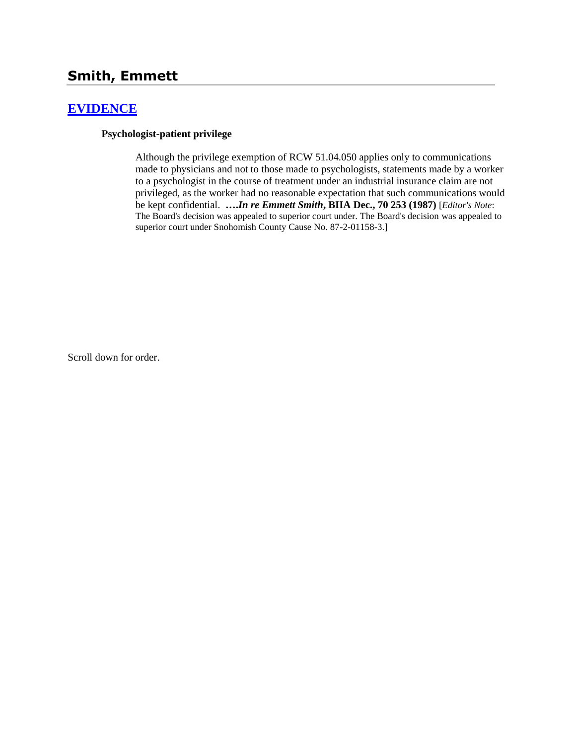# **Smith, Emmett**

## **[EVIDENCE](http://www.biia.wa.gov/SDSubjectIndex.html#EVIDENCE)**

#### **Psychologist-patient privilege**

Although the privilege exemption of RCW 51.04.050 applies only to communications made to physicians and not to those made to psychologists, statements made by a worker to a psychologist in the course of treatment under an industrial insurance claim are not privileged, as the worker had no reasonable expectation that such communications would be kept confidential. **….***In re Emmett Smith***, BIIA Dec., 70 253 (1987)** [*Editor's Note*: The Board's decision was appealed to superior court under. The Board's decision was appealed to superior court under Snohomish County Cause No. 87-2-01158-3.]

Scroll down for order.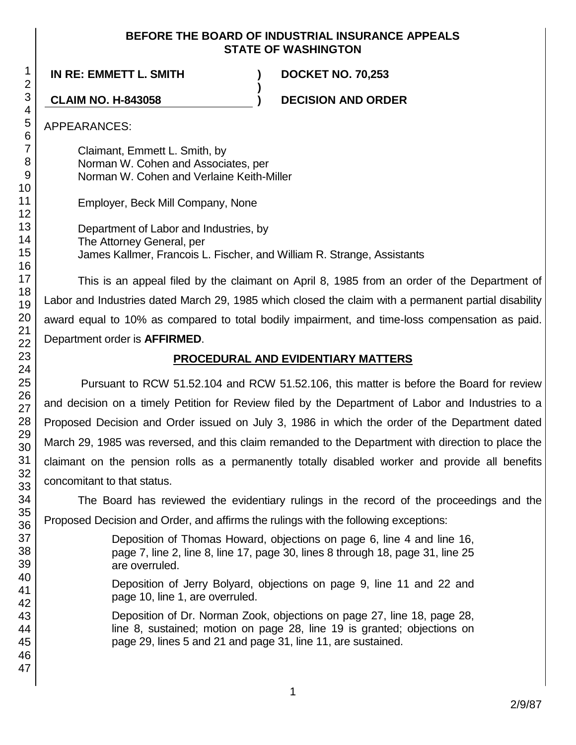## **BEFORE THE BOARD OF INDUSTRIAL INSURANCE APPEALS STATE OF WASHINGTON**

**IN RE: EMMETT L. SMITH ) DOCKET NO. 70,253**

**CLAIM NO. H-843058 ) DECISION AND ORDER**

APPEARANCES:

Claimant, Emmett L. Smith, by Norman W. Cohen and Associates, per Norman W. Cohen and Verlaine Keith-Miller

Employer, Beck Mill Company, None

Department of Labor and Industries, by The Attorney General, per James Kallmer, Francois L. Fischer, and William R. Strange, Assistants

**)**

This is an appeal filed by the claimant on April 8, 1985 from an order of the Department of Labor and Industries dated March 29, 1985 which closed the claim with a permanent partial disability award equal to 10% as compared to total bodily impairment, and time-loss compensation as paid. Department order is **AFFIRMED**.

## **PROCEDURAL AND EVIDENTIARY MATTERS**

Pursuant to RCW 51.52.104 and RCW 51.52.106, this matter is before the Board for review and decision on a timely Petition for Review filed by the Department of Labor and Industries to a Proposed Decision and Order issued on July 3, 1986 in which the order of the Department dated March 29, 1985 was reversed, and this claim remanded to the Department with direction to place the claimant on the pension rolls as a permanently totally disabled worker and provide all benefits concomitant to that status.

The Board has reviewed the evidentiary rulings in the record of the proceedings and the Proposed Decision and Order, and affirms the rulings with the following exceptions:

> Deposition of Thomas Howard, objections on page 6, line 4 and line 16, page 7, line 2, line 8, line 17, page 30, lines 8 through 18, page 31, line 25 are overruled.

> Deposition of Jerry Bolyard, objections on page 9, line 11 and 22 and page 10, line 1, are overruled.

> Deposition of Dr. Norman Zook, objections on page 27, line 18, page 28, line 8, sustained; motion on page 28, line 19 is granted; objections on page 29, lines 5 and 21 and page 31, line 11, are sustained.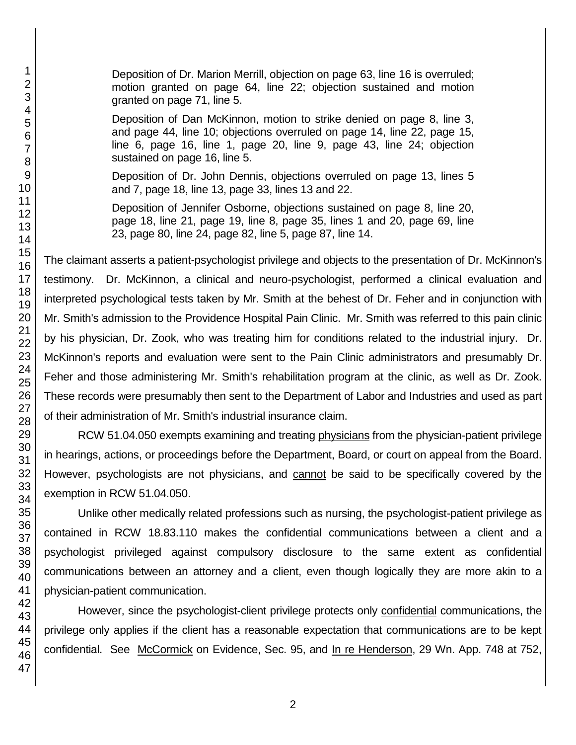Deposition of Dr. Marion Merrill, objection on page 63, line 16 is overruled; motion granted on page 64, line 22; objection sustained and motion granted on page 71, line 5.

Deposition of Dan McKinnon, motion to strike denied on page 8, line 3, and page 44, line 10; objections overruled on page 14, line 22, page 15, line 6, page 16, line 1, page 20, line 9, page 43, line 24; objection sustained on page 16, line 5.

Deposition of Dr. John Dennis, objections overruled on page 13, lines 5 and 7, page 18, line 13, page 33, lines 13 and 22.

Deposition of Jennifer Osborne, objections sustained on page 8, line 20, page 18, line 21, page 19, line 8, page 35, lines 1 and 20, page 69, line 23, page 80, line 24, page 82, line 5, page 87, line 14.

The claimant asserts a patient-psychologist privilege and objects to the presentation of Dr. McKinnon's testimony. Dr. McKinnon, a clinical and neuro-psychologist, performed a clinical evaluation and interpreted psychological tests taken by Mr. Smith at the behest of Dr. Feher and in conjunction with Mr. Smith's admission to the Providence Hospital Pain Clinic. Mr. Smith was referred to this pain clinic by his physician, Dr. Zook, who was treating him for conditions related to the industrial injury. Dr. McKinnon's reports and evaluation were sent to the Pain Clinic administrators and presumably Dr. Feher and those administering Mr. Smith's rehabilitation program at the clinic, as well as Dr. Zook. These records were presumably then sent to the Department of Labor and Industries and used as part of their administration of Mr. Smith's industrial insurance claim.

RCW 51.04.050 exempts examining and treating physicians from the physician-patient privilege in hearings, actions, or proceedings before the Department, Board, or court on appeal from the Board. However, psychologists are not physicians, and cannot be said to be specifically covered by the exemption in RCW 51.04.050.

Unlike other medically related professions such as nursing, the psychologist-patient privilege as contained in RCW 18.83.110 makes the confidential communications between a client and a psychologist privileged against compulsory disclosure to the same extent as confidential communications between an attorney and a client, even though logically they are more akin to a physician-patient communication.

However, since the psychologist-client privilege protects only confidential communications, the privilege only applies if the client has a reasonable expectation that communications are to be kept confidential. See McCormick on Evidence, Sec. 95, and In re Henderson, 29 Wn. App. 748 at 752,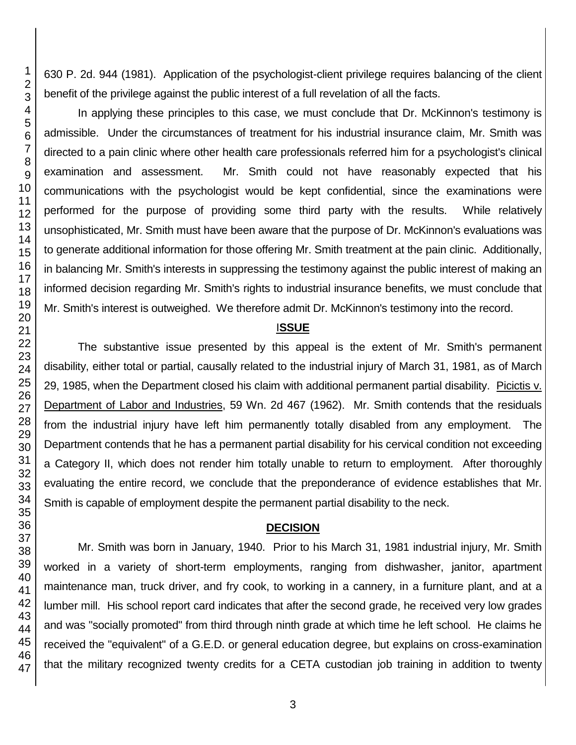630 P. 2d. 944 (1981). Application of the psychologist-client privilege requires balancing of the client benefit of the privilege against the public interest of a full revelation of all the facts.

In applying these principles to this case, we must conclude that Dr. McKinnon's testimony is admissible. Under the circumstances of treatment for his industrial insurance claim, Mr. Smith was directed to a pain clinic where other health care professionals referred him for a psychologist's clinical examination and assessment. Mr. Smith could not have reasonably expected that his communications with the psychologist would be kept confidential, since the examinations were performed for the purpose of providing some third party with the results. While relatively unsophisticated, Mr. Smith must have been aware that the purpose of Dr. McKinnon's evaluations was to generate additional information for those offering Mr. Smith treatment at the pain clinic. Additionally, in balancing Mr. Smith's interests in suppressing the testimony against the public interest of making an informed decision regarding Mr. Smith's rights to industrial insurance benefits, we must conclude that Mr. Smith's interest is outweighed. We therefore admit Dr. McKinnon's testimony into the record.

### I**SSUE**

The substantive issue presented by this appeal is the extent of Mr. Smith's permanent disability, either total or partial, causally related to the industrial injury of March 31, 1981, as of March 29, 1985, when the Department closed his claim with additional permanent partial disability. Picictis v. Department of Labor and Industries, 59 Wn. 2d 467 (1962). Mr. Smith contends that the residuals from the industrial injury have left him permanently totally disabled from any employment. The Department contends that he has a permanent partial disability for his cervical condition not exceeding a Category II, which does not render him totally unable to return to employment. After thoroughly evaluating the entire record, we conclude that the preponderance of evidence establishes that Mr. Smith is capable of employment despite the permanent partial disability to the neck.

#### **DECISION**

Mr. Smith was born in January, 1940. Prior to his March 31, 1981 industrial injury, Mr. Smith worked in a variety of short-term employments, ranging from dishwasher, janitor, apartment maintenance man, truck driver, and fry cook, to working in a cannery, in a furniture plant, and at a lumber mill. His school report card indicates that after the second grade, he received very low grades and was "socially promoted" from third through ninth grade at which time he left school. He claims he received the "equivalent" of a G.E.D. or general education degree, but explains on cross-examination that the military recognized twenty credits for a CETA custodian job training in addition to twenty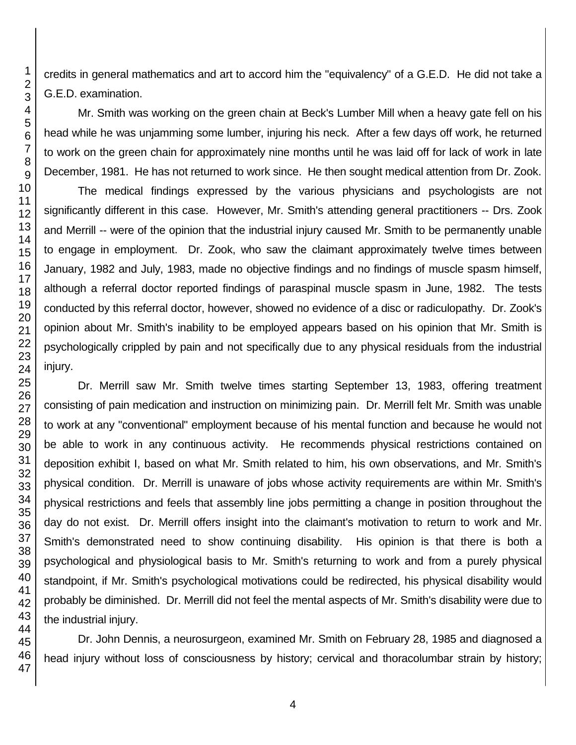credits in general mathematics and art to accord him the "equivalency" of a G.E.D. He did not take a G.E.D. examination.

Mr. Smith was working on the green chain at Beck's Lumber Mill when a heavy gate fell on his head while he was unjamming some lumber, injuring his neck. After a few days off work, he returned to work on the green chain for approximately nine months until he was laid off for lack of work in late December, 1981. He has not returned to work since. He then sought medical attention from Dr. Zook.

The medical findings expressed by the various physicians and psychologists are not significantly different in this case. However, Mr. Smith's attending general practitioners -- Drs. Zook and Merrill -- were of the opinion that the industrial injury caused Mr. Smith to be permanently unable to engage in employment. Dr. Zook, who saw the claimant approximately twelve times between January, 1982 and July, 1983, made no objective findings and no findings of muscle spasm himself, although a referral doctor reported findings of paraspinal muscle spasm in June, 1982. The tests conducted by this referral doctor, however, showed no evidence of a disc or radiculopathy. Dr. Zook's opinion about Mr. Smith's inability to be employed appears based on his opinion that Mr. Smith is psychologically crippled by pain and not specifically due to any physical residuals from the industrial injury.

Dr. Merrill saw Mr. Smith twelve times starting September 13, 1983, offering treatment consisting of pain medication and instruction on minimizing pain. Dr. Merrill felt Mr. Smith was unable to work at any "conventional" employment because of his mental function and because he would not be able to work in any continuous activity. He recommends physical restrictions contained on deposition exhibit I, based on what Mr. Smith related to him, his own observations, and Mr. Smith's physical condition. Dr. Merrill is unaware of jobs whose activity requirements are within Mr. Smith's physical restrictions and feels that assembly line jobs permitting a change in position throughout the day do not exist. Dr. Merrill offers insight into the claimant's motivation to return to work and Mr. Smith's demonstrated need to show continuing disability. His opinion is that there is both a psychological and physiological basis to Mr. Smith's returning to work and from a purely physical standpoint, if Mr. Smith's psychological motivations could be redirected, his physical disability would probably be diminished. Dr. Merrill did not feel the mental aspects of Mr. Smith's disability were due to the industrial injury.

Dr. John Dennis, a neurosurgeon, examined Mr. Smith on February 28, 1985 and diagnosed a head injury without loss of consciousness by history; cervical and thoracolumbar strain by history;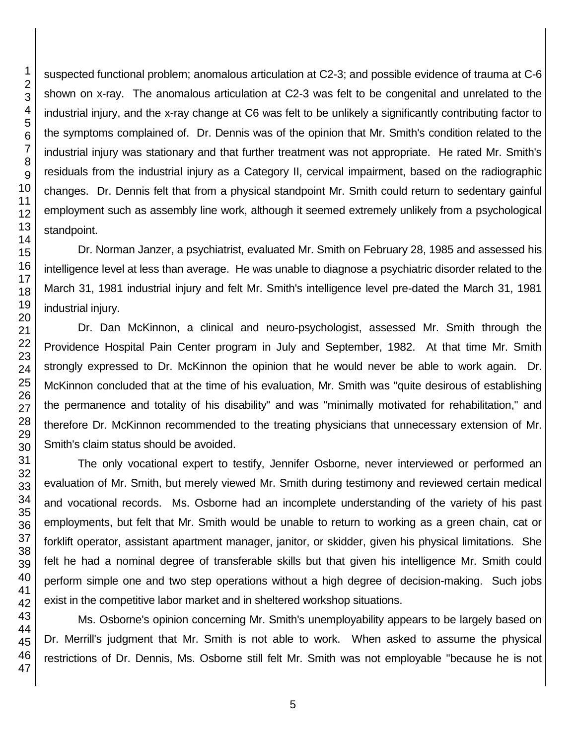suspected functional problem; anomalous articulation at C2-3; and possible evidence of trauma at C-6 shown on x-ray. The anomalous articulation at C2-3 was felt to be congenital and unrelated to the industrial injury, and the x-ray change at C6 was felt to be unlikely a significantly contributing factor to the symptoms complained of. Dr. Dennis was of the opinion that Mr. Smith's condition related to the industrial injury was stationary and that further treatment was not appropriate. He rated Mr. Smith's residuals from the industrial injury as a Category II, cervical impairment, based on the radiographic changes. Dr. Dennis felt that from a physical standpoint Mr. Smith could return to sedentary gainful employment such as assembly line work, although it seemed extremely unlikely from a psychological standpoint.

Dr. Norman Janzer, a psychiatrist, evaluated Mr. Smith on February 28, 1985 and assessed his intelligence level at less than average. He was unable to diagnose a psychiatric disorder related to the March 31, 1981 industrial injury and felt Mr. Smith's intelligence level pre-dated the March 31, 1981 industrial injury.

Dr. Dan McKinnon, a clinical and neuro-psychologist, assessed Mr. Smith through the Providence Hospital Pain Center program in July and September, 1982. At that time Mr. Smith strongly expressed to Dr. McKinnon the opinion that he would never be able to work again. Dr. McKinnon concluded that at the time of his evaluation, Mr. Smith was "quite desirous of establishing the permanence and totality of his disability" and was "minimally motivated for rehabilitation," and therefore Dr. McKinnon recommended to the treating physicians that unnecessary extension of Mr. Smith's claim status should be avoided.

The only vocational expert to testify, Jennifer Osborne, never interviewed or performed an evaluation of Mr. Smith, but merely viewed Mr. Smith during testimony and reviewed certain medical and vocational records. Ms. Osborne had an incomplete understanding of the variety of his past employments, but felt that Mr. Smith would be unable to return to working as a green chain, cat or forklift operator, assistant apartment manager, janitor, or skidder, given his physical limitations. She felt he had a nominal degree of transferable skills but that given his intelligence Mr. Smith could perform simple one and two step operations without a high degree of decision-making. Such jobs exist in the competitive labor market and in sheltered workshop situations.

Ms. Osborne's opinion concerning Mr. Smith's unemployability appears to be largely based on Dr. Merrill's judgment that Mr. Smith is not able to work. When asked to assume the physical restrictions of Dr. Dennis, Ms. Osborne still felt Mr. Smith was not employable "because he is not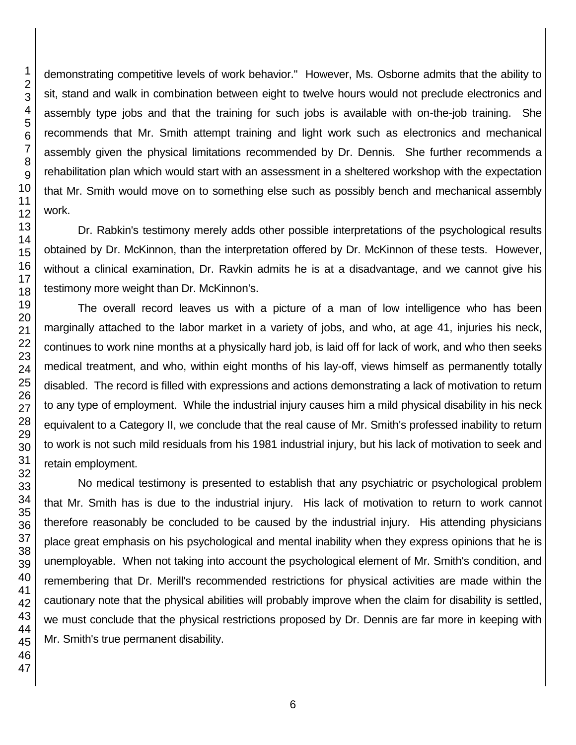demonstrating competitive levels of work behavior." However, Ms. Osborne admits that the ability to sit, stand and walk in combination between eight to twelve hours would not preclude electronics and assembly type jobs and that the training for such jobs is available with on-the-job training. She recommends that Mr. Smith attempt training and light work such as electronics and mechanical assembly given the physical limitations recommended by Dr. Dennis. She further recommends a rehabilitation plan which would start with an assessment in a sheltered workshop with the expectation that Mr. Smith would move on to something else such as possibly bench and mechanical assembly work.

Dr. Rabkin's testimony merely adds other possible interpretations of the psychological results obtained by Dr. McKinnon, than the interpretation offered by Dr. McKinnon of these tests. However, without a clinical examination, Dr. Ravkin admits he is at a disadvantage, and we cannot give his testimony more weight than Dr. McKinnon's.

The overall record leaves us with a picture of a man of low intelligence who has been marginally attached to the labor market in a variety of jobs, and who, at age 41, injuries his neck, continues to work nine months at a physically hard job, is laid off for lack of work, and who then seeks medical treatment, and who, within eight months of his lay-off, views himself as permanently totally disabled. The record is filled with expressions and actions demonstrating a lack of motivation to return to any type of employment. While the industrial injury causes him a mild physical disability in his neck equivalent to a Category II, we conclude that the real cause of Mr. Smith's professed inability to return to work is not such mild residuals from his 1981 industrial injury, but his lack of motivation to seek and retain employment.

No medical testimony is presented to establish that any psychiatric or psychological problem that Mr. Smith has is due to the industrial injury. His lack of motivation to return to work cannot therefore reasonably be concluded to be caused by the industrial injury. His attending physicians place great emphasis on his psychological and mental inability when they express opinions that he is unemployable. When not taking into account the psychological element of Mr. Smith's condition, and remembering that Dr. Merill's recommended restrictions for physical activities are made within the cautionary note that the physical abilities will probably improve when the claim for disability is settled, we must conclude that the physical restrictions proposed by Dr. Dennis are far more in keeping with Mr. Smith's true permanent disability.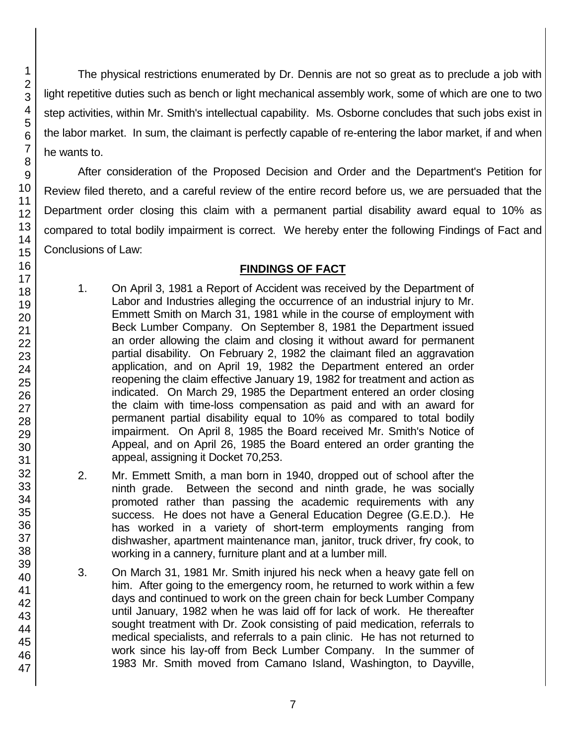The physical restrictions enumerated by Dr. Dennis are not so great as to preclude a job with light repetitive duties such as bench or light mechanical assembly work, some of which are one to two step activities, within Mr. Smith's intellectual capability. Ms. Osborne concludes that such jobs exist in the labor market. In sum, the claimant is perfectly capable of re-entering the labor market, if and when he wants to.

After consideration of the Proposed Decision and Order and the Department's Petition for Review filed thereto, and a careful review of the entire record before us, we are persuaded that the Department order closing this claim with a permanent partial disability award equal to 10% as compared to total bodily impairment is correct. We hereby enter the following Findings of Fact and Conclusions of Law:

## **FINDINGS OF FACT**

- 1. On April 3, 1981 a Report of Accident was received by the Department of Labor and Industries alleging the occurrence of an industrial injury to Mr. Emmett Smith on March 31, 1981 while in the course of employment with Beck Lumber Company. On September 8, 1981 the Department issued an order allowing the claim and closing it without award for permanent partial disability. On February 2, 1982 the claimant filed an aggravation application, and on April 19, 1982 the Department entered an order reopening the claim effective January 19, 1982 for treatment and action as indicated. On March 29, 1985 the Department entered an order closing the claim with time-loss compensation as paid and with an award for permanent partial disability equal to 10% as compared to total bodily impairment. On April 8, 1985 the Board received Mr. Smith's Notice of Appeal, and on April 26, 1985 the Board entered an order granting the appeal, assigning it Docket 70,253.
- 2. Mr. Emmett Smith, a man born in 1940, dropped out of school after the ninth grade. Between the second and ninth grade, he was socially promoted rather than passing the academic requirements with any success. He does not have a General Education Degree (G.E.D.). He has worked in a variety of short-term employments ranging from dishwasher, apartment maintenance man, janitor, truck driver, fry cook, to working in a cannery, furniture plant and at a lumber mill.
- 3. On March 31, 1981 Mr. Smith injured his neck when a heavy gate fell on him. After going to the emergency room, he returned to work within a few days and continued to work on the green chain for beck Lumber Company until January, 1982 when he was laid off for lack of work. He thereafter sought treatment with Dr. Zook consisting of paid medication, referrals to medical specialists, and referrals to a pain clinic. He has not returned to work since his lay-off from Beck Lumber Company. In the summer of 1983 Mr. Smith moved from Camano Island, Washington, to Dayville,